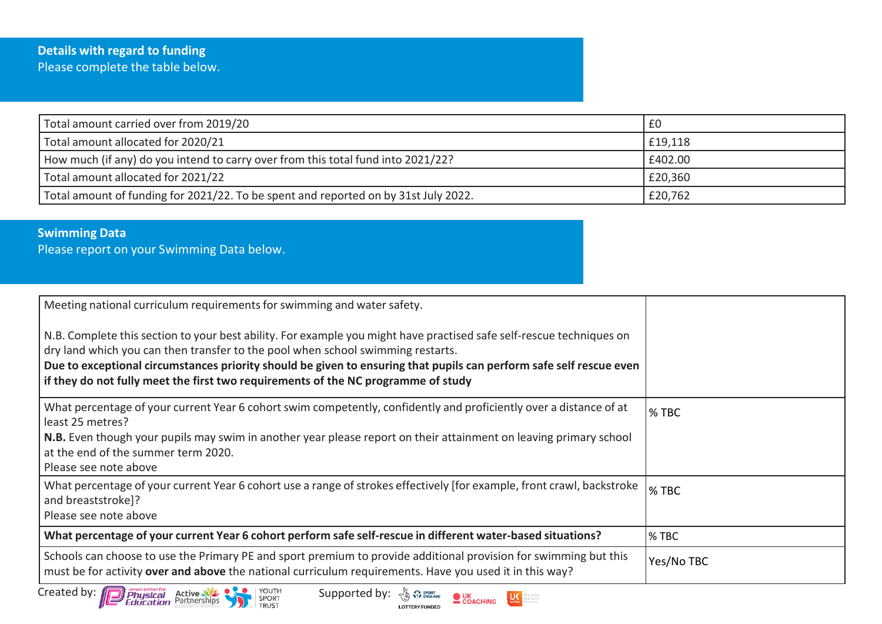## **Details with regard to funding** Please complete the table below.

| Total amount carried over from 2019/20                                              | £0      |
|-------------------------------------------------------------------------------------|---------|
| Total amount allocated for 2020/21                                                  | £19,118 |
| How much (if any) do you intend to carry over from this total fund into 2021/22?    | £402.00 |
| Total amount allocated for 2021/22                                                  | £20,360 |
| Total amount of funding for 2021/22. To be spent and reported on by 31st July 2022. | £20,762 |

## **Swimming Data**

Please report on your Swimming Data below.

| Meeting national curriculum requirements for swimming and water safety.<br>N.B. Complete this section to your best ability. For example you might have practised safe self-rescue techniques on<br>dry land which you can then transfer to the pool when school swimming restarts.<br>Due to exceptional circumstances priority should be given to ensuring that pupils can perform safe self rescue even<br>if they do not fully meet the first two requirements of the NC programme of study |            |
|------------------------------------------------------------------------------------------------------------------------------------------------------------------------------------------------------------------------------------------------------------------------------------------------------------------------------------------------------------------------------------------------------------------------------------------------------------------------------------------------|------------|
| What percentage of your current Year 6 cohort swim competently, confidently and proficiently over a distance of at<br>least 25 metres?<br>N.B. Even though your pupils may swim in another year please report on their attainment on leaving primary school<br>at the end of the summer term 2020.<br>Please see note above                                                                                                                                                                    | % TBC      |
| What percentage of your current Year 6 cohort use a range of strokes effectively [for example, front crawl, backstroke<br>and breaststroke]?<br>Please see note above                                                                                                                                                                                                                                                                                                                          | % TBC      |
| What percentage of your current Year 6 cohort perform safe self-rescue in different water-based situations?                                                                                                                                                                                                                                                                                                                                                                                    | % TBC      |
| Schools can choose to use the Primary PE and sport premium to provide additional provision for swimming but this<br>must be for activity over and above the national curriculum requirements. Have you used it in this way?                                                                                                                                                                                                                                                                    | Yes/No TBC |
| Created by: <b>[[D]</b><br><b>Physical Active</b><br><b>Physical</b> Active<br>YOUTH<br>SPORT<br>TRUST<br>Supported by:                                                                                                                                                                                                                                                                                                                                                                        |            |

**LOTTERY FUNDED** 

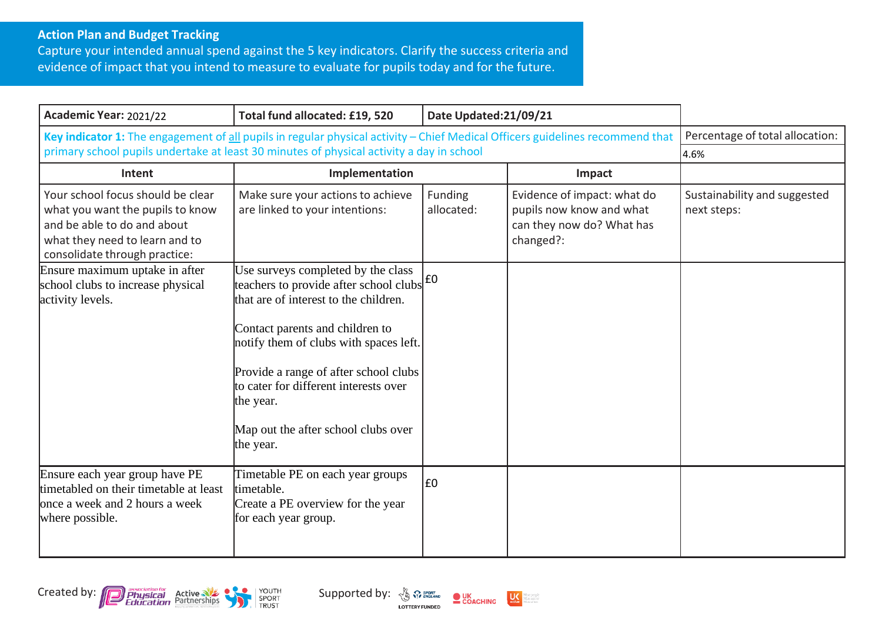## **Action Plan and Budget Tracking**

Capture your intended annual spend against the 5 key indicators. Clarify the success criteria and evidence of impact that you intend to measure to evaluate for pupils today and for the future.

| Academic Year: 2021/22                                                                                                                                                                                                    | Total fund allocated: £19, 520                                                                                                                                                                                                                                                                                                                                                     | Date Updated:21/09/21 |                                                                                                   |                                             |
|---------------------------------------------------------------------------------------------------------------------------------------------------------------------------------------------------------------------------|------------------------------------------------------------------------------------------------------------------------------------------------------------------------------------------------------------------------------------------------------------------------------------------------------------------------------------------------------------------------------------|-----------------------|---------------------------------------------------------------------------------------------------|---------------------------------------------|
| Key indicator 1: The engagement of all pupils in regular physical activity - Chief Medical Officers guidelines recommend that<br>primary school pupils undertake at least 30 minutes of physical activity a day in school |                                                                                                                                                                                                                                                                                                                                                                                    |                       | Percentage of total allocation:                                                                   |                                             |
|                                                                                                                                                                                                                           |                                                                                                                                                                                                                                                                                                                                                                                    |                       |                                                                                                   | 4.6%                                        |
| Intent                                                                                                                                                                                                                    | Implementation                                                                                                                                                                                                                                                                                                                                                                     |                       | Impact                                                                                            |                                             |
| Your school focus should be clear<br>what you want the pupils to know<br>and be able to do and about<br>what they need to learn and to<br>consolidate through practice:                                                   | Make sure your actions to achieve<br>are linked to your intentions:                                                                                                                                                                                                                                                                                                                | Funding<br>allocated: | Evidence of impact: what do<br>pupils now know and what<br>can they now do? What has<br>changed?: | Sustainability and suggested<br>next steps: |
| Ensure maximum uptake in after<br>school clubs to increase physical<br>activity levels.                                                                                                                                   | Use surveys completed by the class<br>teachers to provide after school clubs $\left  \frac{f}{f} \right $<br>that are of interest to the children.<br>Contact parents and children to<br>notify them of clubs with spaces left.<br>Provide a range of after school clubs<br>to cater for different interests over<br>the year.<br>Map out the after school clubs over<br>the year. |                       |                                                                                                   |                                             |
| Ensure each year group have PE<br>timetabled on their timetable at least<br>once a week and 2 hours a week<br>where possible.                                                                                             | Timetable PE on each year groups<br>timetable.<br>Create a PE overview for the year<br>for each year group.                                                                                                                                                                                                                                                                        | £0                    |                                                                                                   |                                             |





**LOTTERY FUNDED** 

dare people<br>dare active<br>dare often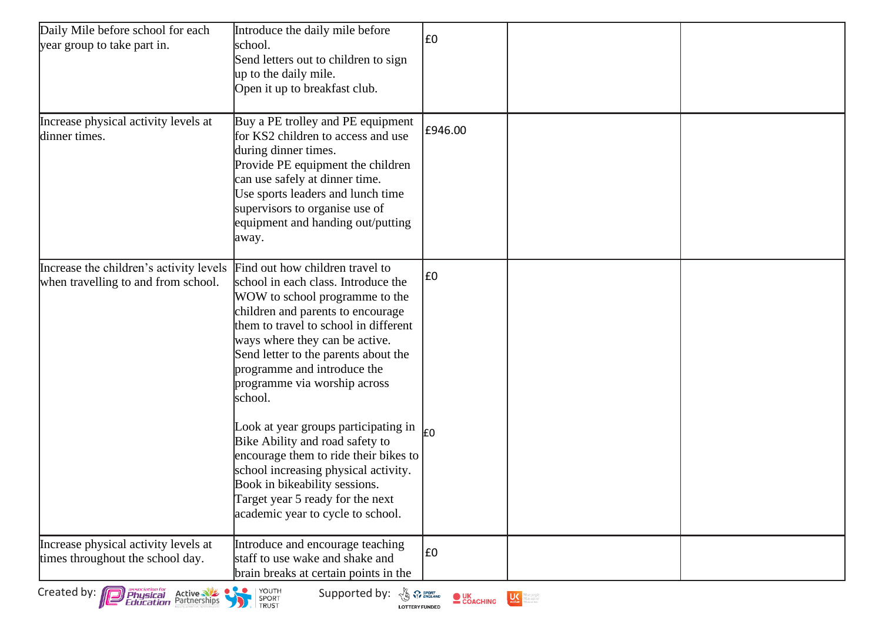| Daily Mile before school for each<br>year group to take part in.                  | Introduce the daily mile before<br>school.<br>Send letters out to children to sign<br>up to the daily mile.<br>Open it up to breakfast club.                                                                                                                                                                                               | E0                       |                  |  |
|-----------------------------------------------------------------------------------|--------------------------------------------------------------------------------------------------------------------------------------------------------------------------------------------------------------------------------------------------------------------------------------------------------------------------------------------|--------------------------|------------------|--|
| Increase physical activity levels at<br>dinner times.                             | Buy a PE trolley and PE equipment<br>for KS2 children to access and use<br>during dinner times.<br>Provide PE equipment the children<br>can use safely at dinner time.<br>Use sports leaders and lunch time<br>supervisors to organise use of<br>equipment and handing out/putting<br>away.                                                | £946.00                  |                  |  |
| Increase the children's activity levels<br>when travelling to and from school.    | Find out how children travel to<br>school in each class. Introduce the<br>WOW to school programme to the<br>children and parents to encourage<br>them to travel to school in different<br>ways where they can be active.<br>Send letter to the parents about the<br>programme and introduce the<br>programme via worship across<br>school. | £0                       |                  |  |
|                                                                                   | Look at year groups participating in<br>Bike Ability and road safety to<br>encourage them to ride their bikes to<br>school increasing physical activity.<br>Book in bikeability sessions.<br>Target year 5 ready for the next<br>academic year to cycle to school.                                                                         | l£0                      |                  |  |
| Increase physical activity levels at<br>times throughout the school day.          | Introduce and encourage teaching<br>staff to use wake and shake and<br>brain breaks at certain points in the                                                                                                                                                                                                                               | £0                       |                  |  |
| Created by:<br>association for<br>Physical<br>Education<br>Active<br>Partnerships | YOUTH<br>SPORT<br>TRUST<br>$\bullet\searrow\bullet$<br>Supported by: $\frac{N_0}{N_0}$ or ENGLAND<br><b>LOTTERY FUNDED</b>                                                                                                                                                                                                                 | $\bullet$ UK<br>COACHING | <b>ON MARINE</b> |  |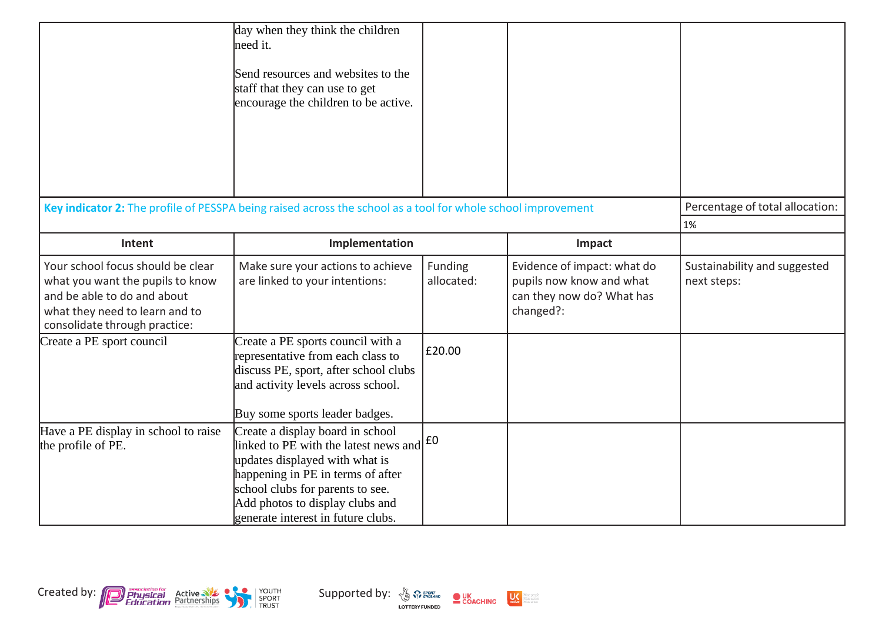|                                                                                                                                                                         | day when they think the children<br>need it.<br>Send resources and websites to the<br>staff that they can use to get<br>encourage the children to be active.                                                                                                                             |                       |                                                                                                   |                                             |
|-------------------------------------------------------------------------------------------------------------------------------------------------------------------------|------------------------------------------------------------------------------------------------------------------------------------------------------------------------------------------------------------------------------------------------------------------------------------------|-----------------------|---------------------------------------------------------------------------------------------------|---------------------------------------------|
|                                                                                                                                                                         | Key indicator 2: The profile of PESSPA being raised across the school as a tool for whole school improvement                                                                                                                                                                             |                       |                                                                                                   | Percentage of total allocation:             |
|                                                                                                                                                                         |                                                                                                                                                                                                                                                                                          |                       |                                                                                                   | 1%                                          |
| Intent                                                                                                                                                                  | Implementation                                                                                                                                                                                                                                                                           |                       | Impact                                                                                            |                                             |
| Your school focus should be clear<br>what you want the pupils to know<br>and be able to do and about<br>what they need to learn and to<br>consolidate through practice: | Make sure your actions to achieve<br>are linked to your intentions:                                                                                                                                                                                                                      | Funding<br>allocated: | Evidence of impact: what do<br>pupils now know and what<br>can they now do? What has<br>changed?: | Sustainability and suggested<br>next steps: |
| Create a PE sport council                                                                                                                                               | Create a PE sports council with a<br>representative from each class to<br>discuss PE, sport, after school clubs<br>and activity levels across school.<br>Buy some sports leader badges.                                                                                                  | £20.00                |                                                                                                   |                                             |
| Have a PE display in school to raise<br>the profile of PE.                                                                                                              | Create a display board in school<br>linked to PE with the latest news and $\left  \text{E0} \right $<br>updates displayed with what is<br>happening in PE in terms of after<br>school clubs for parents to see.<br>Add photos to display clubs and<br>generate interest in future clubs. |                       |                                                                                                   |                                             |



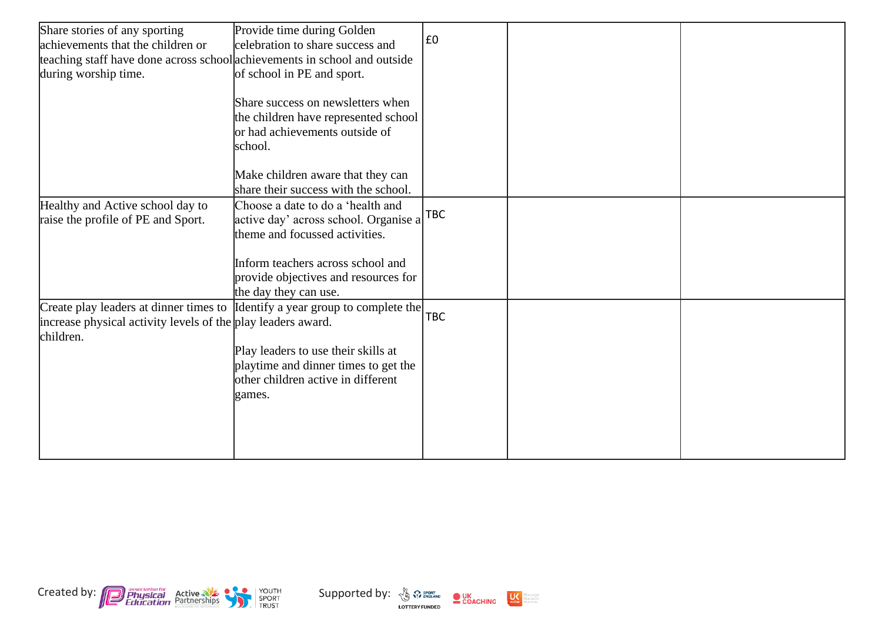| Share stories of any sporting                                                | Provide time during Golden                |            |  |
|------------------------------------------------------------------------------|-------------------------------------------|------------|--|
| achievements that the children or                                            | celebration to share success and          | E0         |  |
| teaching staff have done across school achievements in school and outside    |                                           |            |  |
| during worship time.                                                         | of school in PE and sport.                |            |  |
|                                                                              |                                           |            |  |
|                                                                              | Share success on newsletters when         |            |  |
|                                                                              | the children have represented school      |            |  |
|                                                                              | or had achievements outside of            |            |  |
|                                                                              | school.                                   |            |  |
|                                                                              |                                           |            |  |
|                                                                              | Make children aware that they can         |            |  |
|                                                                              | share their success with the school.      |            |  |
| Healthy and Active school day to                                             | Choose a date to do a 'health and         |            |  |
| raise the profile of PE and Sport.                                           | active day' across school. Organise a TBC |            |  |
|                                                                              | theme and focussed activities.            |            |  |
|                                                                              |                                           |            |  |
|                                                                              | Inform teachers across school and         |            |  |
|                                                                              | provide objectives and resources for      |            |  |
|                                                                              | the day they can use.                     |            |  |
| Create play leaders at dinner times to Identify a year group to complete the |                                           |            |  |
| increase physical activity levels of the play leaders award.                 |                                           | <b>TBC</b> |  |
| children.                                                                    |                                           |            |  |
|                                                                              | Play leaders to use their skills at       |            |  |
|                                                                              | playtime and dinner times to get the      |            |  |
|                                                                              | other children active in different        |            |  |
|                                                                              | games.                                    |            |  |
|                                                                              |                                           |            |  |
|                                                                              |                                           |            |  |
|                                                                              |                                           |            |  |
|                                                                              |                                           |            |  |



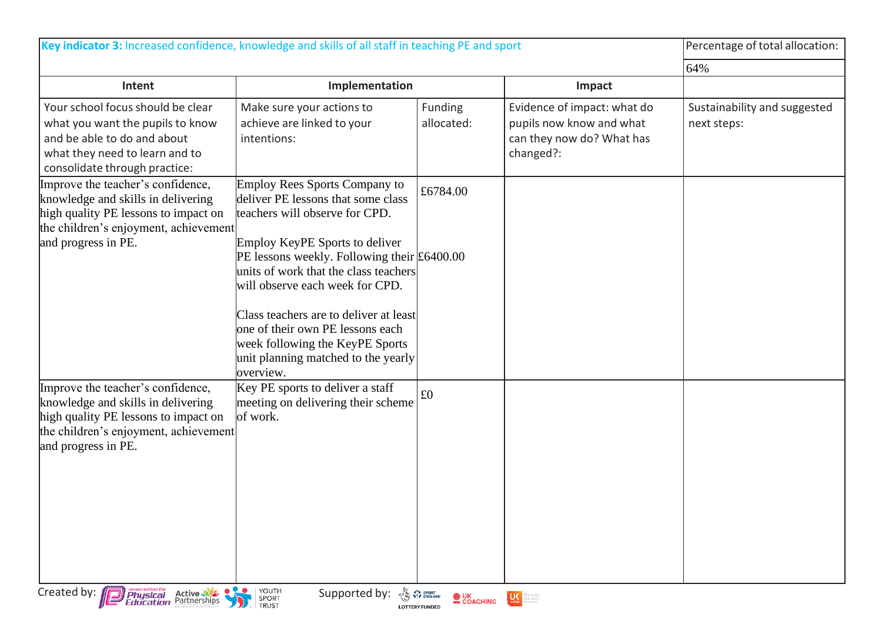| Key indicator 3: Increased confidence, knowledge and skills of all staff in teaching PE and sport                                                                               |                                                                                                                                                                                 |                       |                                                                                                   | Percentage of total allocation:             |
|---------------------------------------------------------------------------------------------------------------------------------------------------------------------------------|---------------------------------------------------------------------------------------------------------------------------------------------------------------------------------|-----------------------|---------------------------------------------------------------------------------------------------|---------------------------------------------|
|                                                                                                                                                                                 |                                                                                                                                                                                 |                       |                                                                                                   | 64%                                         |
| Intent                                                                                                                                                                          | Implementation                                                                                                                                                                  |                       | Impact                                                                                            |                                             |
| Your school focus should be clear<br>what you want the pupils to know<br>and be able to do and about<br>what they need to learn and to<br>consolidate through practice:         | Make sure your actions to<br>achieve are linked to your<br>intentions:                                                                                                          | Funding<br>allocated: | Evidence of impact: what do<br>pupils now know and what<br>can they now do? What has<br>changed?: | Sustainability and suggested<br>next steps: |
| Improve the teacher's confidence,<br>knowledge and skills in delivering<br>high quality PE lessons to impact on<br>the children's enjoyment, achievement                        | Employ Rees Sports Company to<br>deliver PE lessons that some class<br>teachers will observe for CPD.                                                                           | £6784.00              |                                                                                                   |                                             |
| and progress in PE.                                                                                                                                                             | <b>Employ KeyPE Sports to deliver</b><br>PE lessons weekly. Following their $\text{\pounds}6400.00$<br>units of work that the class teachers<br>will observe each week for CPD. |                       |                                                                                                   |                                             |
|                                                                                                                                                                                 | Class teachers are to deliver at least<br>one of their own PE lessons each<br>week following the KeyPE Sports<br>unit planning matched to the yearly<br>overview.               |                       |                                                                                                   |                                             |
| Improve the teacher's confidence,<br>knowledge and skills in delivering<br>high quality PE lessons to impact on<br>the children's enjoyment, achievement<br>and progress in PE. | Key PE sports to deliver a staff<br>meeting on delivering their scheme<br>of work.                                                                                              | £0                    |                                                                                                   |                                             |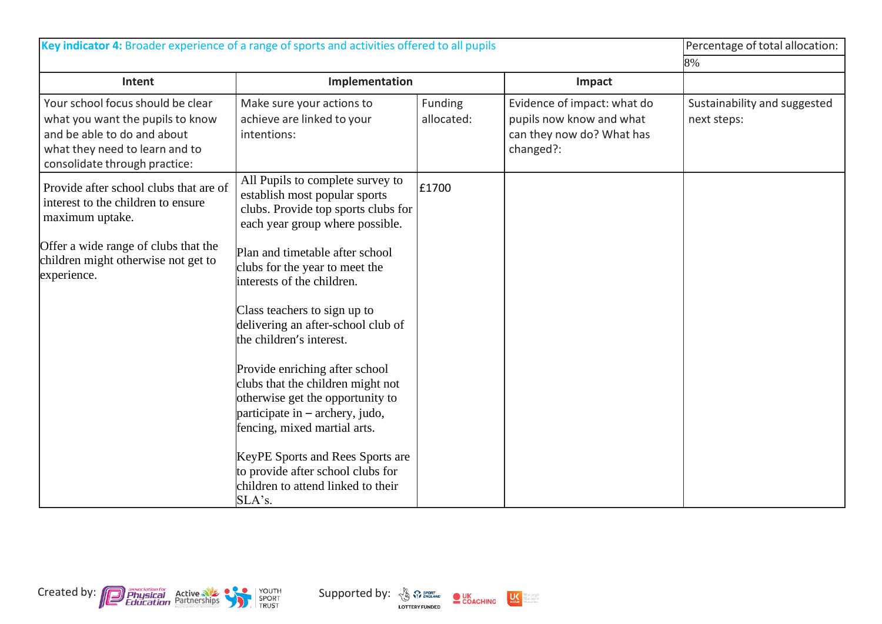| Key indicator 4: Broader experience of a range of sports and activities offered to all pupils                                                                           |                                                                                                                                                                            |                       |                                                                                                   | Percentage of total allocation:             |
|-------------------------------------------------------------------------------------------------------------------------------------------------------------------------|----------------------------------------------------------------------------------------------------------------------------------------------------------------------------|-----------------------|---------------------------------------------------------------------------------------------------|---------------------------------------------|
|                                                                                                                                                                         |                                                                                                                                                                            |                       |                                                                                                   | 8%                                          |
| Intent                                                                                                                                                                  | Implementation                                                                                                                                                             |                       | Impact                                                                                            |                                             |
| Your school focus should be clear<br>what you want the pupils to know<br>and be able to do and about<br>what they need to learn and to<br>consolidate through practice: | Make sure your actions to<br>achieve are linked to your<br>intentions:                                                                                                     | Funding<br>allocated: | Evidence of impact: what do<br>pupils now know and what<br>can they now do? What has<br>changed?: | Sustainability and suggested<br>next steps: |
| Provide after school clubs that are of<br>interest to the children to ensure<br>maximum uptake.                                                                         | All Pupils to complete survey to<br>establish most popular sports<br>clubs. Provide top sports clubs for<br>each year group where possible.                                | £1700                 |                                                                                                   |                                             |
| Offer a wide range of clubs that the<br>children might otherwise not get to<br>experience.                                                                              | Plan and timetable after school<br>clubs for the year to meet the<br>interests of the children.                                                                            |                       |                                                                                                   |                                             |
|                                                                                                                                                                         | Class teachers to sign up to<br>delivering an after-school club of<br>the children's interest.                                                                             |                       |                                                                                                   |                                             |
|                                                                                                                                                                         | Provide enriching after school<br>clubs that the children might not<br>otherwise get the opportunity to<br>participate in – archery, judo,<br>fencing, mixed martial arts. |                       |                                                                                                   |                                             |
|                                                                                                                                                                         | KeyPE Sports and Rees Sports are<br>to provide after school clubs for<br>children to attend linked to their<br>SLA's.                                                      |                       |                                                                                                   |                                             |

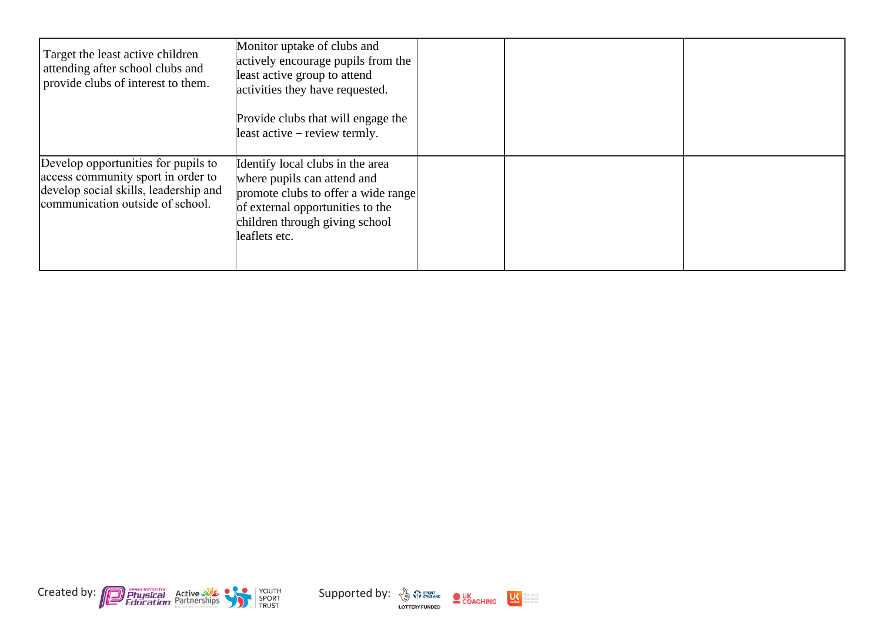| Target the least active children<br>attending after school clubs and<br>provide clubs of interest to them.                                             | Monitor uptake of clubs and<br>actively encourage pupils from the<br>least active group to attend<br>activities they have requested.<br>Provide clubs that will engage the<br>least active – review termly. |  |  |
|--------------------------------------------------------------------------------------------------------------------------------------------------------|-------------------------------------------------------------------------------------------------------------------------------------------------------------------------------------------------------------|--|--|
| Develop opportunities for pupils to<br>access community sport in order to<br>develop social skills, leadership and<br>communication outside of school. | Identify local clubs in the area<br>where pupils can attend and<br>promote clubs to offer a wide range<br>of external opportunities to the<br>children through giving school<br>leaflets etc.               |  |  |





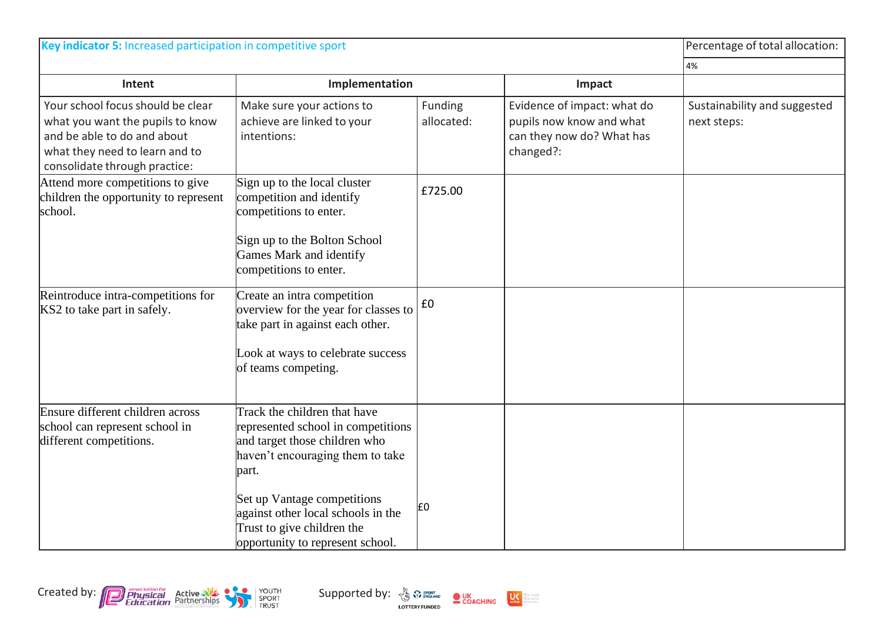| Key indicator 5: Increased participation in competitive sport                                                                                                           |                                                                                                                                                  |                       |                                                                                                   | Percentage of total allocation:             |
|-------------------------------------------------------------------------------------------------------------------------------------------------------------------------|--------------------------------------------------------------------------------------------------------------------------------------------------|-----------------------|---------------------------------------------------------------------------------------------------|---------------------------------------------|
|                                                                                                                                                                         |                                                                                                                                                  |                       |                                                                                                   | 4%                                          |
| Intent                                                                                                                                                                  | Implementation                                                                                                                                   |                       | Impact                                                                                            |                                             |
| Your school focus should be clear<br>what you want the pupils to know<br>and be able to do and about<br>what they need to learn and to<br>consolidate through practice: | Make sure your actions to<br>achieve are linked to your<br>intentions:                                                                           | Funding<br>allocated: | Evidence of impact: what do<br>pupils now know and what<br>can they now do? What has<br>changed?: | Sustainability and suggested<br>next steps: |
| Attend more competitions to give<br>children the opportunity to represent<br>school.                                                                                    | Sign up to the local cluster<br>competition and identify<br>competitions to enter.                                                               | £725.00               |                                                                                                   |                                             |
|                                                                                                                                                                         | Sign up to the Bolton School<br>Games Mark and identify<br>competitions to enter.                                                                |                       |                                                                                                   |                                             |
| Reintroduce intra-competitions for<br>KS2 to take part in safely.                                                                                                       | Create an intra competition<br>overview for the year for classes to<br>take part in against each other.<br>Look at ways to celebrate success     | £0                    |                                                                                                   |                                             |
|                                                                                                                                                                         | of teams competing.                                                                                                                              |                       |                                                                                                   |                                             |
| Ensure different children across<br>school can represent school in<br>different competitions.                                                                           | Track the children that have<br>represented school in competitions<br>and target those children who<br>haven't encouraging them to take<br>part. |                       |                                                                                                   |                                             |
|                                                                                                                                                                         | Set up Vantage competitions<br>against other local schools in the<br>Trust to give children the<br>opportunity to represent school.              | £0                    |                                                                                                   |                                             |